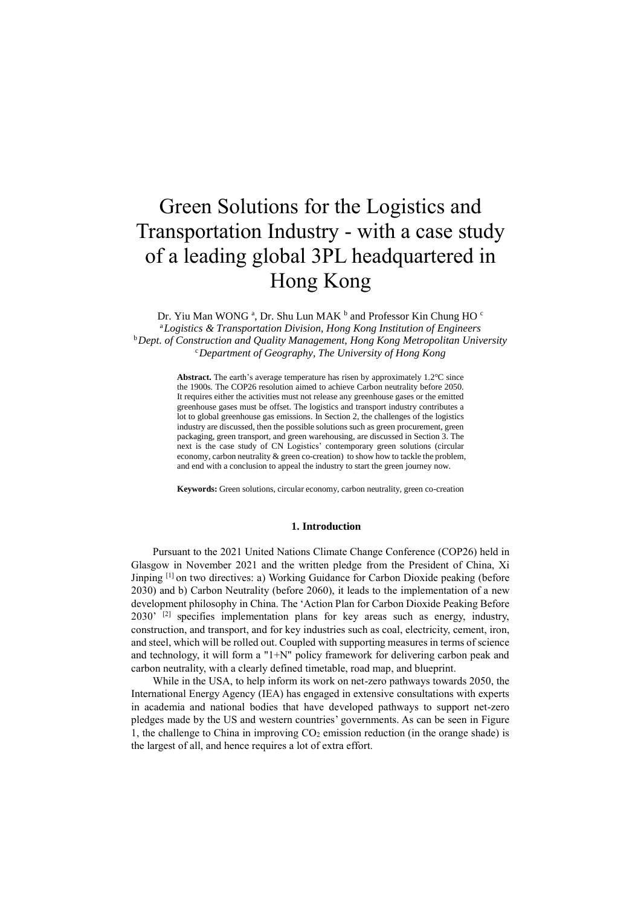# Green Solutions for the Logistics and Transportation Industry - with a case study of a leading global 3PL headquartered in Hong Kong

Dr. Yiu Man WONG<sup>a</sup>, Dr. Shu Lun MAK<sup>b</sup> and Professor Kin Chung HO<sup>c</sup> <sup>a</sup>*Logistics & Transportation Division, Hong Kong Institution of Engineers* <sup>b</sup>*Dept. of Construction and Quality Management, Hong Kong Metropolitan University* <sup>c</sup>*Department of Geography, The University of Hong Kong*

> **Abstract.** The earth's average temperature has risen by approximately 1.2°C since the 1900s. The COP26 resolution aimed to achieve Carbon neutrality before 2050. It requires either the activities must not release any greenhouse gases or the emitted greenhouse gases must be offset. The logistics and transport industry contributes a lot to global greenhouse gas emissions. In Section 2, the challenges of the logistics industry are discussed, then the possible solutions such as green procurement, green packaging, green transport, and green warehousing, are discussed in Section 3. The next is the case study of CN Logistics' contemporary green solutions (circular economy, carbon neutrality & green co-creation) to show how to tackle the problem, and end with a conclusion to appeal the industry to start the green journey now.

> **Keywords:** Green solutions, circular economy, carbon neutrality, green co-creation

## **1. Introduction**

Pursuant to the 2021 United Nations Climate Change Conference (COP26) held in Glasgow in November 2021 and the written pledge from the President of China, Xi Jinping [1] on two directives: a) Working Guidance for Carbon Dioxide peaking (before 2030) and b) Carbon Neutrality (before 2060), it leads to the implementation of a new development philosophy in China. The 'Action Plan for Carbon Dioxide Peaking Before 2030'<sup>[2]</sup> specifies implementation plans for key areas such as energy, industry, construction, and transport, and for key industries such as coal, electricity, cement, iron, and steel, which will be rolled out. Coupled with supporting measures in terms of science and technology, it will form a "1+N" policy framework for delivering carbon peak and carbon neutrality, with a clearly defined timetable, road map, and blueprint.

While in the USA, to help inform its work on net-zero pathways towards 2050, the International Energy Agency (IEA) has engaged in extensive consultations with experts in academia and national bodies that have developed pathways to support net-zero pledges made by the US and western countries' governments. As can be seen in Figure 1, the challenge to China in improving  $CO<sub>2</sub>$  emission reduction (in the orange shade) is the largest of all, and hence requires a lot of extra effort.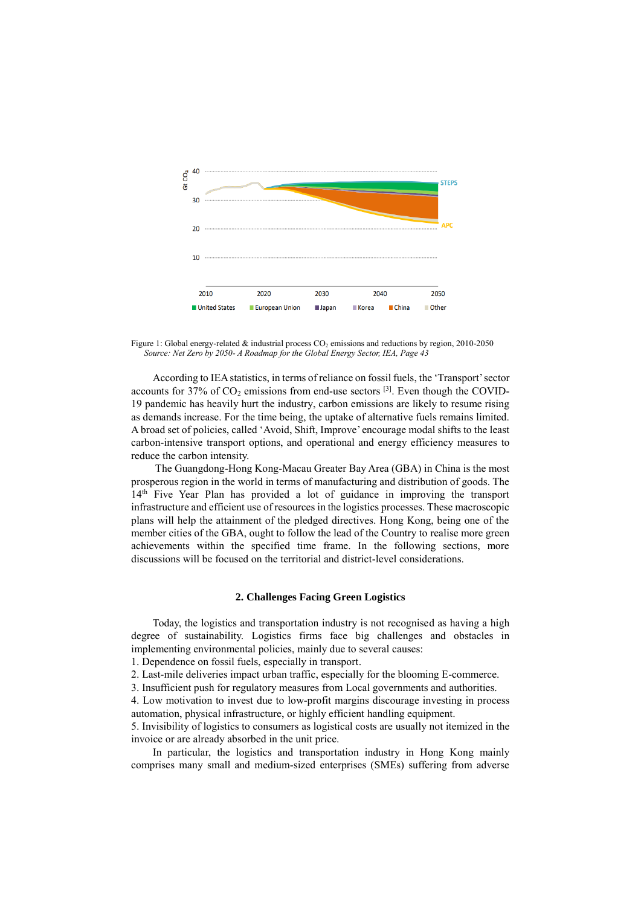

Figure 1: Global energy-related  $&$  industrial process  $CO<sub>2</sub>$  emissions and reductions by region, 2010-2050 *Source: Net Zero by 2050- A Roadmap for the Global Energy Sector, IEA, Page 43*

According to IEA statistics, in terms of reliance on fossil fuels, the 'Transport' sector accounts for 37% of  $CO_2$  emissions from end-use sectors  $^{[3]}$ . Even though the COVID-19 pandemic has heavily hurt the industry, carbon emissions are likely to resume rising as demands increase. For the time being, the uptake of alternative fuels remains limited. A broad set of policies, called 'Avoid, Shift, Improve' encourage modal shifts to the least carbon-intensive transport options, and operational and energy efficiency measures to reduce the carbon intensity.

The Guangdong-Hong Kong-Macau Greater Bay Area (GBA) in China is the most prosperous region in the world in terms of manufacturing and distribution of goods. The 14th Five Year Plan has provided a lot of guidance in improving the transport infrastructure and efficient use of resources in the logistics processes. These macroscopic plans will help the attainment of the pledged directives. Hong Kong, being one of the member cities of the GBA, ought to follow the lead of the Country to realise more green achievements within the specified time frame. In the following sections, more discussions will be focused on the territorial and district-level considerations.

#### **2. Challenges Facing Green Logistics**

Today, the logistics and transportation industry is not recognised as having a high degree of sustainability. Logistics firms face big challenges and obstacles in implementing environmental policies, mainly due to several causes:

1. Dependence on fossil fuels, especially in transport.

2. Last-mile deliveries impact urban traffic, especially for the blooming E-commerce.

3. Insufficient push for regulatory measures from Local governments and authorities.

4. Low motivation to invest due to low-profit margins discourage investing in process automation, physical infrastructure, or highly efficient handling equipment.

5. Invisibility of logistics to consumers as logistical costs are usually not itemized in the invoice or are already absorbed in the unit price.

In particular, the logistics and transportation industry in Hong Kong mainly comprises many small and medium-sized enterprises (SMEs) suffering from adverse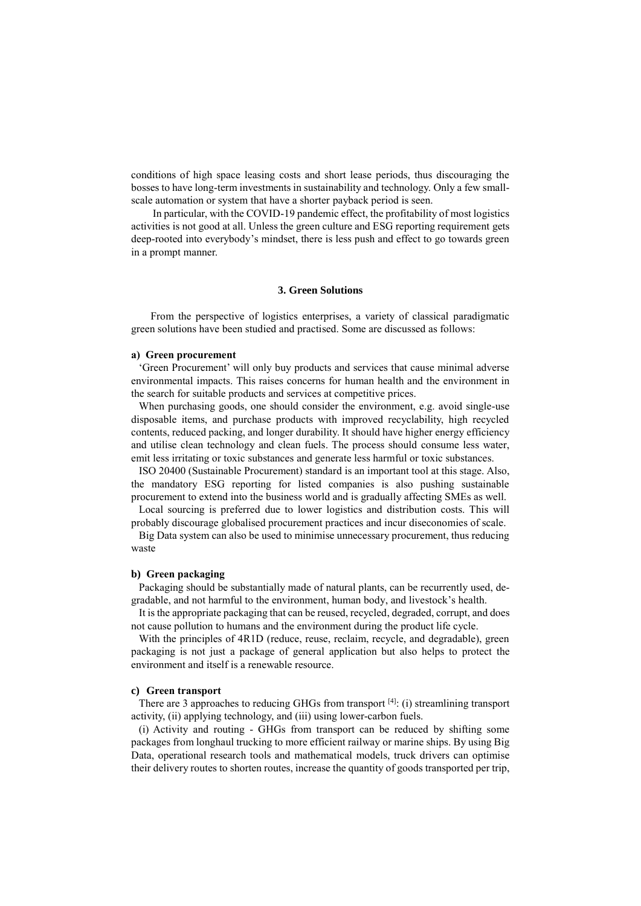conditions of high space leasing costs and short lease periods, thus discouraging the bosses to have long-term investments in sustainability and technology. Only a few smallscale automation or system that have a shorter payback period is seen.

In particular, with the COVID-19 pandemic effect, the profitability of most logistics activities is not good at all. Unless the green culture and ESG reporting requirement gets deep-rooted into everybody's mindset, there is less push and effect to go towards green in a prompt manner.

## **3. Green Solutions**

From the perspective of logistics enterprises, a variety of classical paradigmatic green solutions have been studied and practised. Some are discussed as follows:

#### **a) Green procurement**

'Green Procurement' will only buy products and services that cause minimal adverse environmental impacts. This raises concerns for human health and the environment in the search for suitable products and services at competitive prices.

When purchasing goods, one should consider the environment, e.g. avoid single-use disposable items, and purchase products with improved recyclability, high recycled contents, reduced packing, and longer durability. It should have higher energy efficiency and utilise clean technology and clean fuels. The process should consume less water, emit less irritating or toxic substances and generate less harmful or toxic substances.

ISO 20400 (Sustainable Procurement) standard is an important tool at this stage. Also, the mandatory ESG reporting for listed companies is also pushing sustainable procurement to extend into the business world and is gradually affecting SMEs as well.

Local sourcing is preferred due to lower logistics and distribution costs. This will probably discourage globalised procurement practices and incur diseconomies of scale.

Big Data system can also be used to minimise unnecessary procurement, thus reducing waste

## **b) Green packaging**

Packaging should be substantially made of natural plants, can be recurrently used, degradable, and not harmful to the environment, human body, and livestock's health.

It is the appropriate packaging that can be reused, recycled, degraded, corrupt, and does not cause pollution to humans and the environment during the product life cycle.

With the principles of  $4R1D$  (reduce, reuse, reclaim, recycle, and degradable), green packaging is not just a package of general application but also helps to protect the environment and itself is a renewable resource.

#### **c) Green transport**

There are 3 approaches to reducing GHGs from transport  $[4]$ : (i) streamlining transport activity, (ii) applying technology, and (iii) using lower-carbon fuels.

(i) Activity and routing - GHGs from transport can be reduced by shifting some packages from longhaul trucking to more efficient railway or marine ships. By using Big Data, operational research tools and mathematical models, truck drivers can optimise their delivery routes to shorten routes, increase the quantity of goods transported per trip,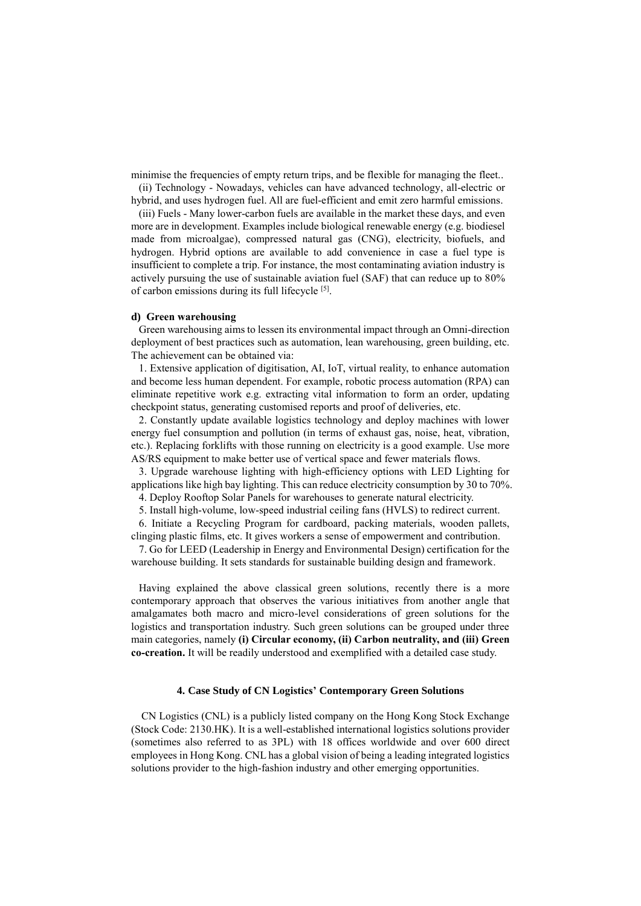minimise the frequencies of empty return trips, and be flexible for managing the fleet..

(ii) Technology - Nowadays, vehicles can have advanced technology, all-electric or hybrid, and uses hydrogen fuel. All are fuel-efficient and emit zero harmful emissions.

(iii) Fuels - Many lower-carbon fuels are available in the market these days, and even more are in development. Examples include biological renewable energy (e.g. biodiesel made from microalgae), compressed natural gas (CNG), electricity, biofuels, and hydrogen. Hybrid options are available to add convenience in case a fuel type is insufficient to complete a trip. For instance, the most contaminating aviation industry is actively pursuing the use of sustainable aviation fuel (SAF) that can reduce up to 80% of carbon emissions during its full lifecycle [5].

#### **d) Green warehousing**

Green warehousing aims to lessen its environmental impact through an Omni-direction deployment of best practices such as automation, lean warehousing, green building, etc. The achievement can be obtained via:

1. Extensive application of digitisation, AI, IoT, virtual reality, to enhance automation and become less human dependent. For example, robotic process automation (RPA) can eliminate repetitive work e.g. extracting vital information to form an order, updating checkpoint status, generating customised reports and proof of deliveries, etc.

2. Constantly update available logistics technology and deploy machines with lower energy fuel consumption and pollution (in terms of exhaust gas, noise, heat, vibration, etc.). Replacing forklifts with those running on electricity is a good example. Use more AS/RS equipment to make better use of vertical space and fewer materials flows.

3. Upgrade warehouse lighting with high-efficiency options with LED Lighting for applications like high bay lighting. This can reduce electricity consumption by 30 to 70%. 4. Deploy Rooftop Solar Panels for warehouses to generate natural electricity.

5. Install high-volume, low-speed industrial ceiling fans (HVLS) to redirect current.

6. Initiate a Recycling Program for cardboard, packing materials, wooden pallets,

clinging plastic films, etc. It gives workers a sense of empowerment and contribution.

7. Go for LEED (Leadership in Energy and Environmental Design) certification for the warehouse building. It sets standards for sustainable building design and framework.

Having explained the above classical green solutions, recently there is a more contemporary approach that observes the various initiatives from another angle that amalgamates both macro and micro-level considerations of green solutions for the logistics and transportation industry. Such green solutions can be grouped under three main categories, namely **(i) Circular economy, (ii) Carbon neutrality, and (iii) Green co-creation.** It will be readily understood and exemplified with a detailed case study.

## **4. Case Study of CN Logistics' Contemporary Green Solutions**

CN Logistics (CNL) is a publicly listed company on the Hong Kong Stock Exchange (Stock Code: 2130.HK). It is a well-established international logistics solutions provider (sometimes also referred to as 3PL) with 18 offices worldwide and over 600 direct employees in Hong Kong. CNL has a global vision of being a leading integrated logistics solutions provider to the high-fashion industry and other emerging opportunities.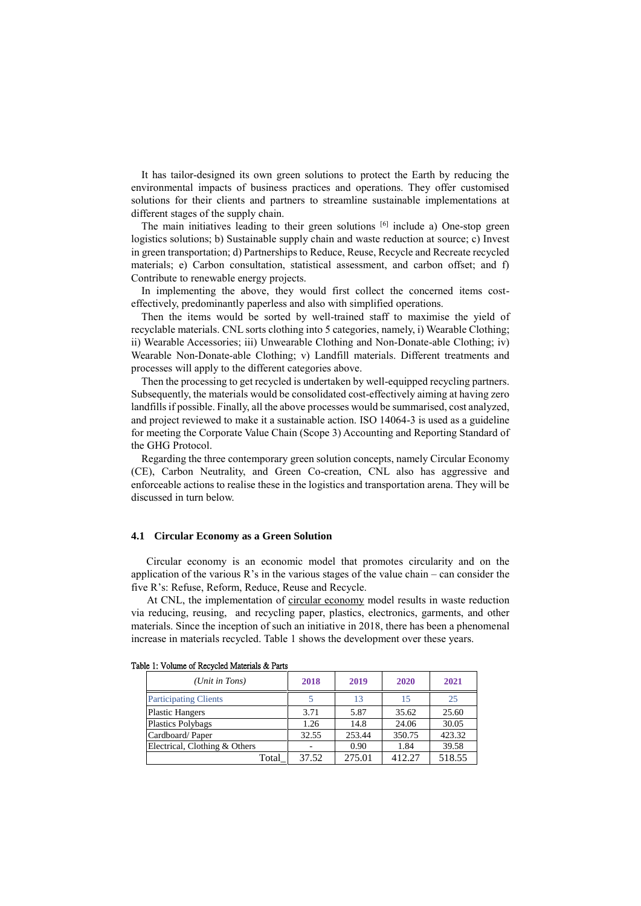It has tailor-designed its own green solutions to protect the Earth by reducing the environmental impacts of business practices and operations. They offer customised solutions for their clients and partners to streamline sustainable implementations at different stages of the supply chain.

The main initiatives leading to their green solutions  $[6]$  include a) One-stop green logistics solutions; b) Sustainable supply chain and waste reduction at source; c) Invest in green transportation; d) Partnerships to Reduce, Reuse, Recycle and Recreate recycled materials; e) Carbon consultation, statistical assessment, and carbon offset; and f) Contribute to renewable energy projects.

In implementing the above, they would first collect the concerned items costeffectively, predominantly paperless and also with simplified operations.

Then the items would be sorted by well-trained staff to maximise the yield of recyclable materials. CNL sorts clothing into 5 categories, namely, i) Wearable Clothing; ii) Wearable Accessories; iii) Unwearable Clothing and Non-Donate-able Clothing; iv) Wearable Non-Donate-able Clothing; v) Landfill materials. Different treatments and processes will apply to the different categories above.

Then the processing to get recycled is undertaken by well-equipped recycling partners. Subsequently, the materials would be consolidated cost-effectively aiming at having zero landfills if possible. Finally, all the above processes would be summarised, cost analyzed, and project reviewed to make it a sustainable action. ISO 14064-3 is used as a guideline for meeting the Corporate Value Chain (Scope 3) Accounting and Reporting Standard of the GHG Protocol.

Regarding the three contemporary green solution concepts, namely Circular Economy (CE), Carbon Neutrality, and Green Co-creation, CNL also has aggressive and enforceable actions to realise these in the logistics and transportation arena. They will be discussed in turn below.

# **4.1 Circular Economy as a Green Solution**

Circular economy is an economic model that promotes circularity and on the application of the various  $R$ 's in the various stages of the value chain – can consider the five R's: Refuse, Reform, Reduce, Reuse and Recycle.

At CNL, the implementation of circular economy model results in waste reduction via reducing, reusing, and recycling paper, plastics, electronics, garments, and other materials. Since the inception of such an initiative in 2018, there has been a phenomenal increase in materials recycled. Table 1 shows the development over these years.

| (Unit in Tons)                | 2018  | 2019   | 2020   | 2021   |
|-------------------------------|-------|--------|--------|--------|
| <b>Participating Clients</b>  |       | 13     | 15     | 25     |
| <b>Plastic Hangers</b>        | 3.71  | 5.87   | 35.62  | 25.60  |
| <b>Plastics Polybags</b>      | 1.26  | 14.8   | 24.06  | 30.05  |
| Cardboard/Paper               | 32.55 | 253.44 | 350.75 | 423.32 |
| Electrical, Clothing & Others |       | 0.90   | 1.84   | 39.58  |
| Total                         | 37.52 | 275.01 | 412.27 | 518.55 |

| Table 1: Volume of Recycled Materials & Parts |  |  |  |  |
|-----------------------------------------------|--|--|--|--|
|-----------------------------------------------|--|--|--|--|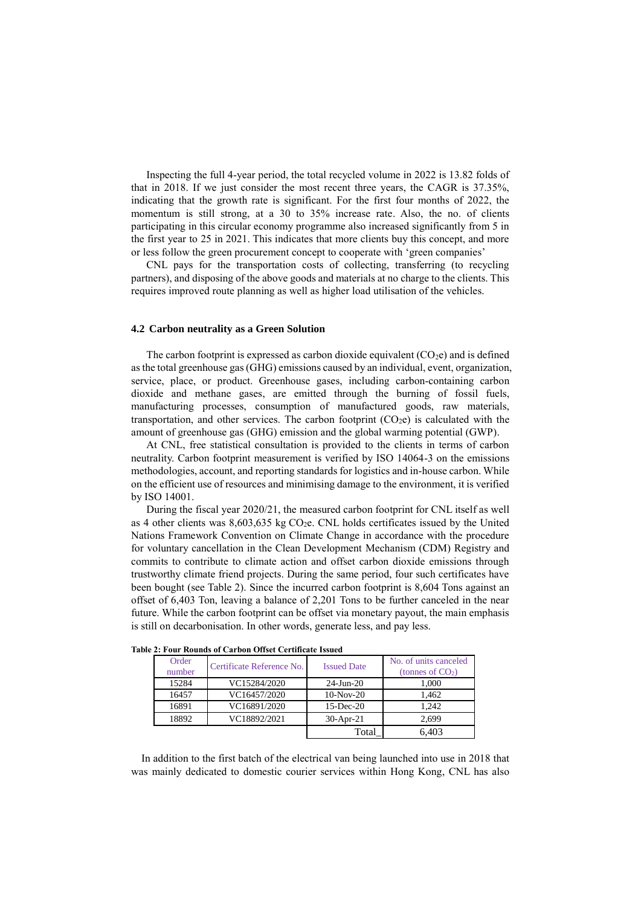Inspecting the full 4-year period, the total recycled volume in 2022 is 13.82 folds of that in 2018. If we just consider the most recent three years, the CAGR is 37.35%, indicating that the growth rate is significant. For the first four months of 2022, the momentum is still strong, at a 30 to 35% increase rate. Also, the no. of clients participating in this circular economy programme also increased significantly from 5 in the first year to 25 in 2021. This indicates that more clients buy this concept, and more or less follow the green procurement concept to cooperate with 'green companies'

CNL pays for the transportation costs of collecting, transferring (to recycling partners), and disposing of the above goods and materials at no charge to the clients. This requires improved route planning as well as higher load utilisation of the vehicles.

## **4.2 Carbon neutrality as a Green Solution**

The carbon footprint is expressed as carbon dioxide equivalent  $(CO_2e)$  and is defined asthe total greenhouse gas (GHG) emissions caused by an individual, event, organization, service, place, or product. Greenhouse gases, including carbon-containing carbon dioxide and methane gases, are emitted through the burning of fossil fuels, manufacturing processes, consumption of manufactured goods, raw materials, transportation, and other services. The carbon footprint  $(CO_2e)$  is calculated with the amount of greenhouse gas (GHG) emission and the global warming potential (GWP).

At CNL, free statistical consultation is provided to the clients in terms of carbon neutrality. Carbon footprint measurement is verified by ISO 14064-3 on the emissions methodologies, account, and reporting standards for logistics and in-house carbon. While on the efficient use of resources and minimising damage to the environment, it is verified by ISO 14001.

During the fiscal year 2020/21, the measured carbon footprint for CNL itself as well as 4 other clients was  $8,603,635$  kg CO<sub>2</sub>e. CNL holds certificates issued by the United Nations Framework Convention on Climate Change in accordance with the procedure for voluntary cancellation in the Clean Development Mechanism (CDM) Registry and commits to contribute to climate action and offset carbon dioxide emissions through trustworthy climate friend projects. During the same period, four such certificates have been bought (see Table 2). Since the incurred carbon footprint is 8,604 Tons against an offset of 6,403 Ton, leaving a balance of 2,201 Tons to be further canceled in the near future. While the carbon footprint can be offset via monetary payout, the main emphasis is still on decarbonisation. In other words, generate less, and pay less.

| Order<br>number | Certificate Reference No. | <b>Issued Date</b> | No. of units canceled<br>(tonnes of $CO2$ ) |
|-----------------|---------------------------|--------------------|---------------------------------------------|
| 15284           | VC15284/2020              | $24 - Jun - 20$    | 1.000                                       |
| 16457           | VC16457/2020              | $10-Nov-20$        | 1.462                                       |
| 16891           | VC16891/2020              | $15$ -Dec-20       | 1.242                                       |
| 18892           | VC18892/2021              | $30-Apr-21$        | 2.699                                       |
|                 |                           | Total              | 6.403                                       |

**Table 2: Four Rounds of Carbon Offset Certificate Issued**

In addition to the first batch of the electrical van being launched into use in 2018 that was mainly dedicated to domestic courier services within Hong Kong, CNL has also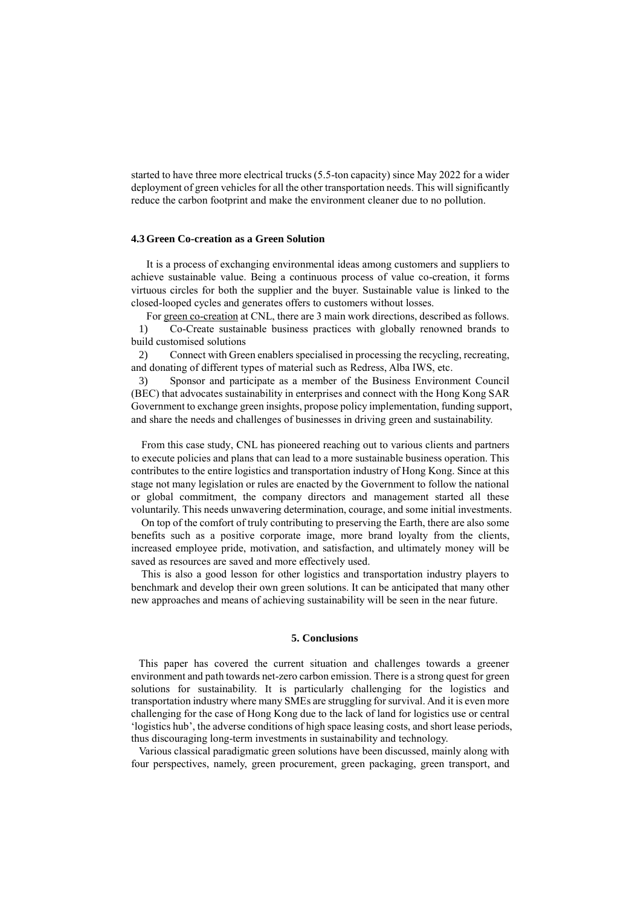started to have three more electrical trucks (5.5-ton capacity) since May 2022 for a wider deployment of green vehicles for all the other transportation needs. This will significantly reduce the carbon footprint and make the environment cleaner due to no pollution.

#### **4.3 Green Co-creation as a Green Solution**

It is a process of exchanging environmental ideas among customers and suppliers to achieve sustainable value. Being a continuous process of value co-creation, it forms virtuous circles for both the supplier and the buyer. Sustainable value is linked to the closed-looped cycles and generates offers to customers without losses.

For green co-creation at CNL, there are 3 main work directions, described as follows. 1) Co-Create sustainable business practices with globally renowned brands to build customised solutions

2) Connect with Green enablers specialised in processing the recycling, recreating, and donating of different types of material such as Redress, Alba IWS, etc.

3) Sponsor and participate as a member of the Business Environment Council (BEC) that advocates sustainability in enterprises and connect with the Hong Kong SAR Government to exchange green insights, propose policy implementation, funding support, and share the needs and challenges of businesses in driving green and sustainability.

From this case study, CNL has pioneered reaching out to various clients and partners to execute policies and plans that can lead to a more sustainable business operation. This contributes to the entire logistics and transportation industry of Hong Kong. Since at this stage not many legislation or rules are enacted by the Government to follow the national or global commitment, the company directors and management started all these voluntarily. This needs unwavering determination, courage, and some initial investments.

On top of the comfort of truly contributing to preserving the Earth, there are also some benefits such as a positive corporate image, more brand loyalty from the clients, increased employee pride, motivation, and satisfaction, and ultimately money will be saved as resources are saved and more effectively used.

This is also a good lesson for other logistics and transportation industry players to benchmark and develop their own green solutions. It can be anticipated that many other new approaches and means of achieving sustainability will be seen in the near future.

## **5. Conclusions**

This paper has covered the current situation and challenges towards a greener environment and path towards net-zero carbon emission. There is a strong quest for green solutions for sustainability. It is particularly challenging for the logistics and transportation industry where many SMEs are struggling for survival. And it is even more challenging for the case of Hong Kong due to the lack of land for logistics use or central 'logistics hub', the adverse conditions of high space leasing costs, and short lease periods, thus discouraging long-term investments in sustainability and technology.

Various classical paradigmatic green solutions have been discussed, mainly along with four perspectives, namely, green procurement, green packaging, green transport, and